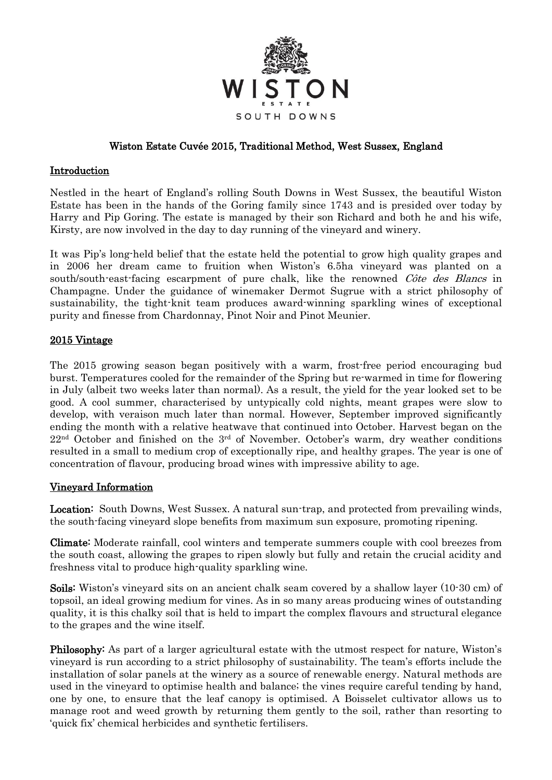

# Wiston Estate Cuvée 2015, Traditional Method, West Sussex, England

### Introduction

Nestled in the heart of England's rolling South Downs in West Sussex, the beautiful Wiston Estate has been in the hands of the Goring family since 1743 and is presided over today by Harry and Pip Goring. The estate is managed by their son Richard and both he and his wife, Kirsty, are now involved in the day to day running of the vineyard and winery.

It was Pip's long-held belief that the estate held the potential to grow high quality grapes and in 2006 her dream came to fruition when Wiston's 6.5ha vineyard was planted on a south/south-east-facing escarpment of pure chalk, like the renowned *Côte des Blancs* in Champagne. Under the guidance of winemaker Dermot Sugrue with a strict philosophy of sustainability, the tight-knit team produces award-winning sparkling wines of exceptional purity and finesse from Chardonnay, Pinot Noir and Pinot Meunier.

## 2015 Vintage

The 2015 growing season began positively with a warm, frost-free period encouraging bud burst. Temperatures cooled for the remainder of the Spring but re-warmed in time for flowering in July (albeit two weeks later than normal). As a result, the yield for the year looked set to be good. A cool summer, characterised by untypically cold nights, meant grapes were slow to develop, with veraison much later than normal. However, September improved significantly ending the month with a relative heatwave that continued into October. Harvest began on the  $22<sup>nd</sup>$  October and finished on the  $3<sup>rd</sup>$  of November. October's warm, dry weather conditions resulted in a small to medium crop of exceptionally ripe, and healthy grapes. The year is one of concentration of flavour, producing broad wines with impressive ability to age.

#### Vineyard Information

Location: South Downs, West Sussex. A natural sun-trap, and protected from prevailing winds, the south-facing vineyard slope benefits from maximum sun exposure, promoting ripening.

Climate: Moderate rainfall, cool winters and temperate summers couple with cool breezes from the south coast, allowing the grapes to ripen slowly but fully and retain the crucial acidity and freshness vital to produce high-quality sparkling wine.

Soils: Wiston's vineyard sits on an ancient chalk seam covered by a shallow layer (10-30 cm) of topsoil, an ideal growing medium for vines. As in so many areas producing wines of outstanding quality, it is this chalky soil that is held to impart the complex flavours and structural elegance to the grapes and the wine itself.

Philosophy: As part of a larger agricultural estate with the utmost respect for nature, Wiston's vineyard is run according to a strict philosophy of sustainability. The team's efforts include the installation of solar panels at the winery as a source of renewable energy. Natural methods are used in the vineyard to optimise health and balance; the vines require careful tending by hand, one by one, to ensure that the leaf canopy is optimised. A Boisselet cultivator allows us to manage root and weed growth by returning them gently to the soil, rather than resorting to 'quick fix' chemical herbicides and synthetic fertilisers.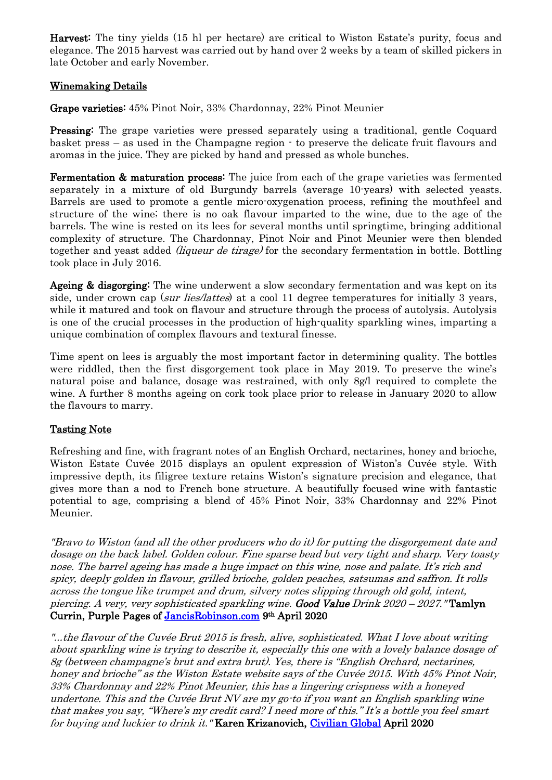Harvest: The tiny yields (15 hl per hectare) are critical to Wiston Estate's purity, focus and elegance. The 2015 harvest was carried out by hand over 2 weeks by a team of skilled pickers in late October and early November.

## Winemaking Details

Grape varieties: 45% Pinot Noir, 33% Chardonnay, 22% Pinot Meunier

Pressing: The grape varieties were pressed separately using a traditional, gentle Coquard basket press – as used in the Champagne region - to preserve the delicate fruit flavours and aromas in the juice. They are picked by hand and pressed as whole bunches.

Fermentation & maturation process: The juice from each of the grape varieties was fermented separately in a mixture of old Burgundy barrels (average 10-years) with selected yeasts. Barrels are used to promote a gentle micro-oxygenation process, refining the mouthfeel and structure of the wine; there is no oak flavour imparted to the wine, due to the age of the barrels. The wine is rested on its lees for several months until springtime, bringing additional complexity of structure. The Chardonnay, Pinot Noir and Pinot Meunier were then blended together and yeast added (liqueur de tirage) for the secondary fermentation in bottle. Bottling took place in July 2016.

Ageing & disgorging: The wine underwent a slow secondary fermentation and was kept on its side, under crown cap (sur lies/lattes) at a cool 11 degree temperatures for initially 3 years, while it matured and took on flavour and structure through the process of autolysis. Autolysis is one of the crucial processes in the production of high-quality sparkling wines, imparting a unique combination of complex flavours and textural finesse.

Time spent on lees is arguably the most important factor in determining quality. The bottles were riddled, then the first disgorgement took place in May 2019. To preserve the wine's natural poise and balance, dosage was restrained, with only 8g/l required to complete the wine. A further 8 months ageing on cork took place prior to release in January 2020 to allow the flavours to marry.

# Tasting Note

Refreshing and fine, with fragrant notes of an English Orchard, nectarines, honey and brioche, Wiston Estate Cuvée 2015 displays an opulent expression of Wiston's Cuvée style. With impressive depth, its filigree texture retains Wiston's signature precision and elegance, that gives more than a nod to French bone structure. A beautifully focused wine with fantastic potential to age, comprising a blend of 45% Pinot Noir, 33% Chardonnay and 22% Pinot Meunier.

"Bravo to Wiston (and all the other producers who do it) for putting the disgorgement date and dosage on the back label. Golden colour. Fine sparse bead but very tight and sharp. Very toasty nose. The barrel ageing has made a huge impact on this wine, nose and palate. It's rich and spicy, deeply golden in flavour, grilled brioche, golden peaches, satsumas and saffron. It rolls across the tongue like trumpet and drum, silvery notes slipping through old gold, intent, piercing. A very, very sophisticated sparkling wine. Good Value Drink  $2020 - 2027$ . **Tamlyn** Currin, Purple Pages of [JancisRobinson.com](https://www.jancisrobinson.com/articles/tomorrow-night-english-wine-night) 9th April 2020

"...the flavour of the Cuvée Brut 2015 is fresh, alive, sophisticated. What I love about writing about sparkling wine is trying to describe it, especially this one with a lovely balance dosage of 8g (between champagne's brut and extra brut). Yes, there is "English Orchard, nectarines, honey and brioche" as the Wiston Estate website says of the Cuvée 2015. With 45% Pinot Noir, 33% Chardonnay and 22% Pinot Meunier, this has a lingering crispness with a honeyed undertone. This and the Cuvée Brut NV are my go-to if you want an English sparkling wine that makes you say, "Where's my credit card? I need more of this." It's a bottle you feel smart for buying and luckier to drink it. "Karen Krizanovich, [Civilian Global](http://civilianglobal.com/food-and-drink/effervesce-sense-karen-krizanovich-on-the-big-english-wine-good-friday/) April 2020